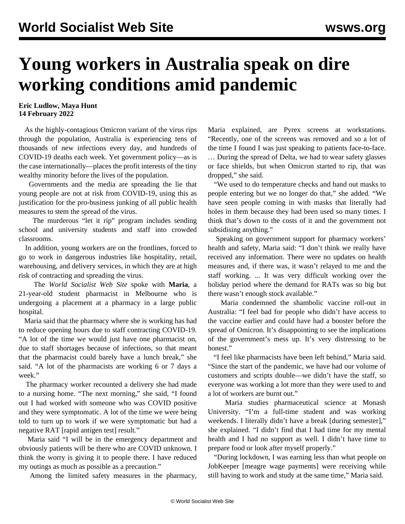## **Young workers in Australia speak on dire working conditions amid pandemic**

## **Eric Ludlow, Maya Hunt 14 February 2022**

 As the highly-contagious Omicron variant of the virus rips through the population, Australia is experiencing tens of thousands of new infections every day, and hundreds of COVID-19 deaths each week. Yet government policy—as is the case internationally—places the profit interests of the tiny wealthy minority before the lives of the population.

 Governments and the media are spreading the lie that young people are not at risk from COVID-19, using this as justification for the pro-business junking of all public health measures to stem the spread of the virus.

 The murderous "let it rip" program includes [sending](/en/articles/2022/02/05/ausc-f05.html) school and university students and staff into crowded classrooms.

 In addition, young workers are on the frontlines, forced to go to work in dangerous industries like hospitality, retail, warehousing, and delivery services, in which they are at high risk of contracting and spreading the virus.

 The *World Socialist Web Site* spoke with **Maria**, a 21-year-old student pharmacist in Melbourne who is undergoing a placement at a pharmacy in a large public hospital.

 Maria said that the pharmacy where she is working has had to reduce opening hours due to staff contracting COVID-19. "A lot of the time we would just have one pharmacist on, due to staff shortages because of infections, so that meant that the pharmacist could barely have a lunch break," she said. "A lot of the pharmacists are working 6 or 7 days a week."

 The pharmacy worker recounted a delivery she had made to a nursing home. "The next morning," she said, "I found out I had worked with someone who was COVID positive and they were symptomatic. A lot of the time we were being told to turn up to work if we were symptomatic but had a negative RAT [rapid antigen test] result."

 Maria said "I will be in the emergency department and obviously patients will be there who are COVID unknown. I think the worry is giving it to people there. I have reduced my outings as much as possible as a precaution."

Among the limited safety measures in the pharmacy,

Maria explained, are Pyrex screens at workstations. "Recently, one of the screens was removed and so a lot of the time I found I was just speaking to patients face-to-face. … During the spread of Delta, we had to wear safety glasses or face shields, but when Omicron started to rip, that was dropped," she said.

 "We used to do temperature checks and hand out masks to people entering but we no longer do that," she added. "We have seen people coming in with masks that literally had holes in them because they had been used so many times. I think that's down to the costs of it and the government not subsidising anything."

 Speaking on government support for pharmacy workers' health and safety, Maria said: "I don't think we really have received any information. There were no updates on health measures and, if there was, it wasn't relayed to me and the staff working. ... It was very difficult working over the holiday period where the demand for RATs was so big but there wasn't enough stock available."

 Maria condemned the shambolic vaccine roll-out in Australia: "I feel bad for people who didn't have access to the vaccine earlier and could have had a booster before the spread of Omicron. It's disappointing to see the implications of the government's mess up. It's very distressing to be honest<sup>"</sup>

 "I feel like pharmacists have been left behind," Maria said. "Since the start of the pandemic, we have had our volume of customers and scripts double—we didn't have the staff, so everyone was working a lot more than they were used to and a lot of workers are burnt out."

 Maria studies pharmaceutical science at Monash University. "I'm a full-time student and was working weekends. I literally didn't have a break [during semester]," she explained. "I didn't find that I had time for my mental health and I had no support as well. I didn't have time to prepare food or look after myself properly."

 "During lockdown, I was earning less than what people on JobKeeper [meagre wage payments] were receiving while still having to work and study at the same time," Maria said.